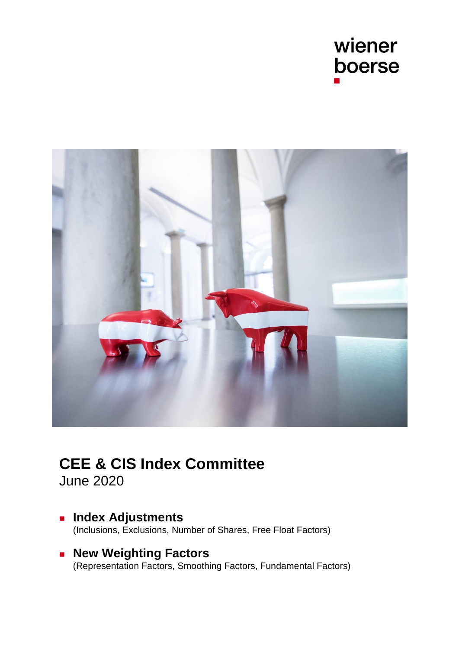



# **CEE & CIS Index Committee**

June 2020

- **Index Adjustments** [\(Inclusions, Exclusions, Number of Shares, Free Float Factors\)](#page-1-0)
- **Rew Weighting Factors** [\(Representation Factors, Smoothing Factors, Fundamental Factors\)](#page-6-0)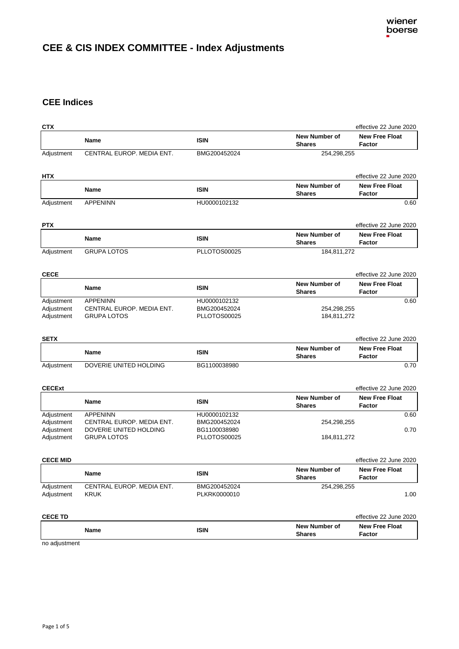# <span id="page-1-0"></span>**CEE & CIS INDEX COMMITTEE - Index Adjustments**

# **CEE Indices**

| <b>CTX</b>                                           |                                                                                              |                                                              |                                | effective 22 June 2020                 |
|------------------------------------------------------|----------------------------------------------------------------------------------------------|--------------------------------------------------------------|--------------------------------|----------------------------------------|
|                                                      | Name                                                                                         | <b>ISIN</b>                                                  | New Number of<br><b>Shares</b> | <b>New Free Float</b><br><b>Factor</b> |
| Adjustment                                           | CENTRAL EUROP. MEDIA ENT.                                                                    | BMG200452024                                                 | 254,298,255                    |                                        |
| HTX                                                  |                                                                                              |                                                              |                                | effective 22 June 2020                 |
|                                                      | Name                                                                                         | <b>ISIN</b>                                                  | New Number of<br><b>Shares</b> | <b>New Free Float</b><br><b>Factor</b> |
| Adjustment                                           | <b>APPENINN</b>                                                                              | HU0000102132                                                 |                                | 0.60                                   |
| <b>PTX</b>                                           |                                                                                              |                                                              |                                | effective 22 June 2020                 |
|                                                      | Name                                                                                         | <b>ISIN</b>                                                  | New Number of<br><b>Shares</b> | <b>New Free Float</b><br><b>Factor</b> |
| Adjustment                                           | <b>GRUPA LOTOS</b>                                                                           | PLLOTOS00025                                                 | 184,811,272                    |                                        |
| <b>CECE</b>                                          |                                                                                              |                                                              |                                | effective 22 June 2020                 |
|                                                      | Name                                                                                         | <b>ISIN</b>                                                  | New Number of<br><b>Shares</b> | <b>New Free Float</b><br>Factor        |
| Adjustment<br>Adjustment<br>Adjustment               | <b>APPENINN</b><br>CENTRAL EUROP. MEDIA ENT.<br><b>GRUPA LOTOS</b>                           | HU0000102132<br>BMG200452024<br>PLLOTOS00025                 | 254,298,255<br>184,811,272     | 0.60                                   |
| <b>SETX</b>                                          |                                                                                              |                                                              |                                | effective 22 June 2020                 |
|                                                      | Name                                                                                         | <b>ISIN</b>                                                  | New Number of<br><b>Shares</b> | <b>New Free Float</b><br>Factor        |
| Adjustment                                           | DOVERIE UNITED HOLDING                                                                       | BG1100038980                                                 |                                | 0.70                                   |
| <b>CECExt</b>                                        |                                                                                              |                                                              |                                | effective 22 June 2020                 |
|                                                      | Name                                                                                         | <b>ISIN</b>                                                  | New Number of<br><b>Shares</b> | <b>New Free Float</b><br><b>Factor</b> |
| Adjustment<br>Adjustment<br>Adjustment<br>Adjustment | <b>APPENINN</b><br>CENTRAL EUROP, MEDIA ENT.<br>DOVERIE UNITED HOLDING<br><b>GRUPA LOTOS</b> | HU0000102132<br>BMG200452024<br>BG1100038980<br>PLLOTOS00025 | 254,298,255<br>184,811,272     | 0.60<br>0.70                           |
| <b>CECE MID</b>                                      |                                                                                              |                                                              |                                | effective 22 June 2020                 |
|                                                      | Name                                                                                         | <b>ISIN</b>                                                  | New Number of<br><b>Shares</b> | <b>New Free Float</b><br>Factor        |
| Adjustment<br>Adjustment                             | CENTRAL EUROP. MEDIA ENT.<br><b>KRUK</b>                                                     | BMG200452024<br>PLKRK0000010                                 | 254,298,255                    | 1.00                                   |
| <b>CECE TD</b>                                       |                                                                                              |                                                              |                                | effective 22 June 2020                 |
|                                                      | Name                                                                                         | ISIN                                                         | New Number of<br><b>Shares</b> | <b>New Free Float</b><br>Factor        |
| no adjustment                                        |                                                                                              |                                                              |                                |                                        |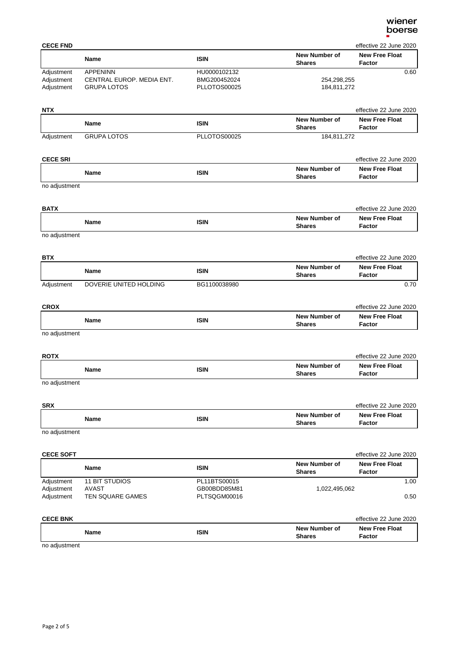| <b>CECE FND</b>                        |                                                                    |                                              |                                       | effective 22 June 2020          |
|----------------------------------------|--------------------------------------------------------------------|----------------------------------------------|---------------------------------------|---------------------------------|
|                                        | Name                                                               | <b>ISIN</b>                                  | New Number of<br><b>Shares</b>        | <b>New Free Float</b><br>Factor |
| Adjustment<br>Adjustment<br>Adjustment | <b>APPENINN</b><br>CENTRAL EUROP. MEDIA ENT.<br><b>GRUPA LOTOS</b> | HU0000102132<br>BMG200452024<br>PLLOTOS00025 | 254,298,255<br>184,811,272            | 0.60                            |
| NTX                                    |                                                                    |                                              |                                       | effective 22 June 2020          |
|                                        | Name                                                               | <b>ISIN</b>                                  | New Number of<br><b>Shares</b>        | <b>New Free Float</b><br>Factor |
| Adjustment                             | <b>GRUPA LOTOS</b>                                                 | PLLOTOS00025                                 | 184,811,272                           |                                 |
| <b>CECE SRI</b>                        |                                                                    |                                              |                                       | effective 22 June 2020          |
|                                        | <b>Name</b>                                                        | <b>ISIN</b>                                  | <b>New Number of</b><br><b>Shares</b> | <b>New Free Float</b><br>Factor |
| no adjustment                          |                                                                    |                                              |                                       |                                 |
| BATX                                   |                                                                    |                                              |                                       | effective 22 June 2020          |
|                                        | Name                                                               | <b>ISIN</b>                                  | New Number of<br><b>Shares</b>        | <b>New Free Float</b><br>Factor |
| no adjustment                          |                                                                    |                                              |                                       |                                 |
| <b>BTX</b>                             |                                                                    |                                              |                                       | effective 22 June 2020          |
|                                        | <b>Name</b>                                                        | <b>ISIN</b>                                  | New Number of<br><b>Shares</b>        | <b>New Free Float</b><br>Factor |
| Adjustment                             | DOVERIE UNITED HOLDING                                             | BG1100038980                                 |                                       | 0.70                            |
| <b>CROX</b>                            |                                                                    |                                              |                                       | effective 22 June 2020          |
|                                        | Name                                                               | <b>ISIN</b>                                  | New Number of<br><b>Shares</b>        | <b>New Free Float</b><br>Factor |
| no adjustment                          |                                                                    |                                              |                                       |                                 |
| ROTX                                   |                                                                    |                                              |                                       | effective 22 June 2020          |
|                                        | Name                                                               | <b>ISIN</b>                                  | <b>New Number of</b><br><b>Shares</b> | <b>New Free Float</b><br>Factor |
| no adjustment                          |                                                                    |                                              |                                       |                                 |
| <b>SRX</b>                             |                                                                    |                                              |                                       | effective 22 June 2020          |
|                                        | <b>Name</b>                                                        | <b>ISIN</b>                                  | <b>New Number of</b><br><b>Shares</b> | <b>New Free Float</b><br>Factor |
| no adjustment                          |                                                                    |                                              |                                       |                                 |
| <b>CECE SOFT</b>                       |                                                                    |                                              |                                       | effective 22 June 2020          |
|                                        | Name                                                               | <b>ISIN</b>                                  | New Number of<br><b>Shares</b>        | <b>New Free Float</b><br>Factor |
| Adjustment<br>Adjustment               | <b>11 BIT STUDIOS</b><br><b>AVAST</b>                              | PL11BTS00015<br>GB00BDD85M81                 | 1,022,495,062                         | 1.00                            |
| Adjustment                             | <b>TEN SQUARE GAMES</b>                                            | PLTSQGM00016                                 |                                       | 0.50                            |

| <b>CECE BNK</b>   |      |                                | effective 22 June 2020          |
|-------------------|------|--------------------------------|---------------------------------|
| <b>Name</b>       | ISIN | New Number of<br><b>Shares</b> | <b>New Free Float</b><br>Factor |
| na adiustras anti |      |                                |                                 |

no adjustment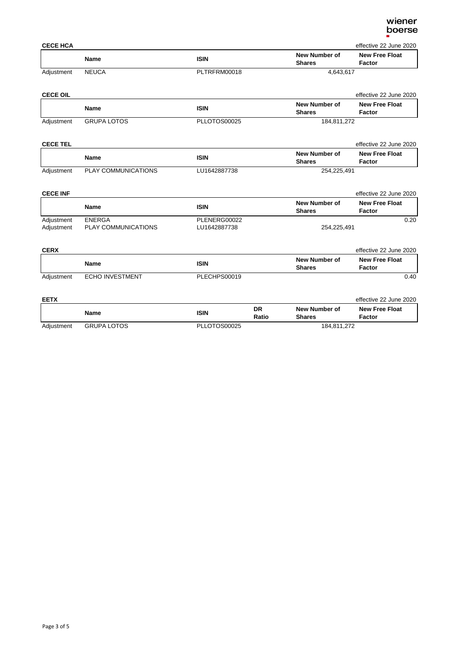| wiener |
|--------|
| boerse |
|        |

| <b>CECE HCA</b><br>effective 22 June 2020 |              |              |                                |                                 |
|-------------------------------------------|--------------|--------------|--------------------------------|---------------------------------|
|                                           | <b>Name</b>  | <b>ISIN</b>  | New Number of<br><b>Shares</b> | <b>New Free Float</b><br>Factor |
| Adjustment                                | <b>NEUCA</b> | PLTRFRM00018 | 4.643.617                      |                                 |

| <b>CECE OIL</b> |                    |              |                                | effective 22 June 2020          |
|-----------------|--------------------|--------------|--------------------------------|---------------------------------|
|                 | Name               | ISIN         | New Number of<br><b>Shares</b> | <b>New Free Float</b><br>Factor |
| Adjustment      | <b>GRUPA LOTOS</b> | PLLOTOS00025 | 184.811.272                    |                                 |

| <b>CECE TEL</b> |                            |              |                                | effective 22 June 2020          |
|-----------------|----------------------------|--------------|--------------------------------|---------------------------------|
|                 | <b>Name</b>                | ISIN         | New Number of<br><b>Shares</b> | <b>New Free Float</b><br>Factor |
| Adjustment      | <b>PLAY COMMUNICATIONS</b> | LU1642887738 | 254.225.491                    |                                 |

### **CECE INF** effective 22 June 2020

|                          | Name                                 | ISIN                         | New Number of<br><b>Shares</b> | <b>New Free Float</b><br>Factor |
|--------------------------|--------------------------------------|------------------------------|--------------------------------|---------------------------------|
| Adjustment<br>Adjustment | <b>ENERGA</b><br>PLAY COMMUNICATIONS | PLENERG00022<br>LU1642887738 | 254.225.491                    | 0.20                            |

| <b>CERX</b> |                        |              |                                | effective 22 June 2020          |
|-------------|------------------------|--------------|--------------------------------|---------------------------------|
|             | Name                   | <b>ISIN</b>  | New Number of<br><b>Shares</b> | <b>New Free Float</b><br>Factor |
| Adjustment  | <b>ECHO INVESTMENT</b> | PLECHPS00019 |                                | 0.40                            |

### **EETX** effective 22 June 2020

|            | Name               | ISIN         | DR<br>Ratio | New Number of<br><b>Shares</b> | <b>New Free Float</b><br>Factor |
|------------|--------------------|--------------|-------------|--------------------------------|---------------------------------|
| Adjustment | <b>GRUPA LOTOS</b> | PLLOTOS00025 |             | 184,811,272                    |                                 |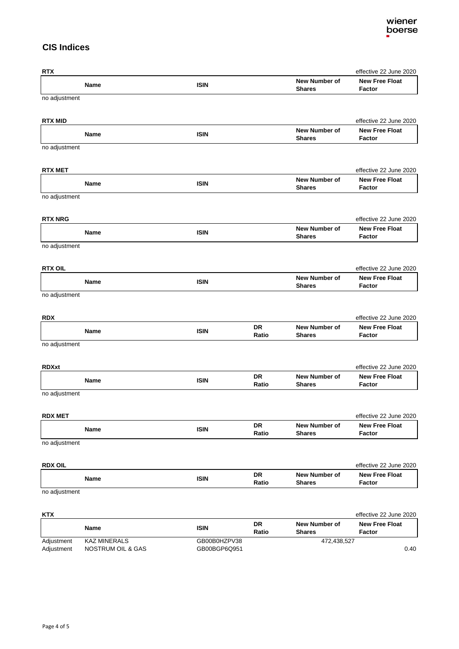# **CIS Indices**

| <b>RTX</b>     |             |             |             |                                       | effective 22 June 2020                          |
|----------------|-------------|-------------|-------------|---------------------------------------|-------------------------------------------------|
|                | Name        | <b>ISIN</b> |             | New Number of<br><b>Shares</b>        | <b>New Free Float</b><br>Factor                 |
| no adjustment  |             |             |             |                                       |                                                 |
| <b>RTX MID</b> |             |             |             |                                       | effective 22 June 2020                          |
|                | Name        | <b>ISIN</b> |             | <b>New Number of</b><br><b>Shares</b> | <b>New Free Float</b><br>Factor                 |
| no adjustment  |             |             |             |                                       |                                                 |
| <b>RTX MET</b> |             |             |             |                                       | effective 22 June 2020                          |
|                | Name        | <b>ISIN</b> |             | New Number of<br><b>Shares</b>        | <b>New Free Float</b><br><b>Factor</b>          |
| no adjustment  |             |             |             |                                       |                                                 |
| <b>RTX NRG</b> |             |             |             |                                       | effective 22 June 2020                          |
|                | Name        | <b>ISIN</b> |             | New Number of<br><b>Shares</b>        | <b>New Free Float</b><br>Factor                 |
| no adjustment  |             |             |             |                                       |                                                 |
| <b>RTX OIL</b> |             |             |             |                                       | effective 22 June 2020                          |
|                | <b>Name</b> | <b>ISIN</b> |             | <b>New Number of</b><br><b>Shares</b> | <b>New Free Float</b><br>Factor                 |
| no adjustment  |             |             |             |                                       |                                                 |
| RDX            |             |             |             |                                       | effective 22 June 2020                          |
|                | Name        | <b>ISIN</b> | DR<br>Ratio | New Number of<br><b>Shares</b>        | <b>New Free Float</b><br>Factor                 |
| no adjustment  |             |             |             |                                       |                                                 |
| <b>RDXxt</b>   |             |             |             |                                       | effective 22 June 2020                          |
|                | Name        | <b>ISIN</b> | DR<br>Ratio | <b>New Number of</b><br><b>Shares</b> | <b>New Free Float</b><br>Factor                 |
| no adjustment  |             |             |             |                                       |                                                 |
| <b>RDX MET</b> |             |             |             |                                       | effective 22 June 2020                          |
|                | Name        | <b>ISIN</b> | DR<br>Ratio | New Number of<br><b>Shares</b>        | <b>New Free Float</b><br>Factor                 |
| no adjustment  |             |             |             |                                       |                                                 |
| <b>RDX OIL</b> |             |             |             |                                       | effective 22 June 2020                          |
|                | Name        | <b>ISIN</b> | DR          | New Number of                         | <b>New Free Float</b>                           |
| no adjustment  |             |             | Ratio       | <b>Shares</b>                         | Factor                                          |
|                |             |             |             |                                       |                                                 |
| KTX            |             |             | DR          | New Number of                         | effective 22 June 2020<br><b>New Free Float</b> |
|                | Name        | <b>ISIN</b> | Ratio       | <b>Shares</b>                         | <b>Factor</b>                                   |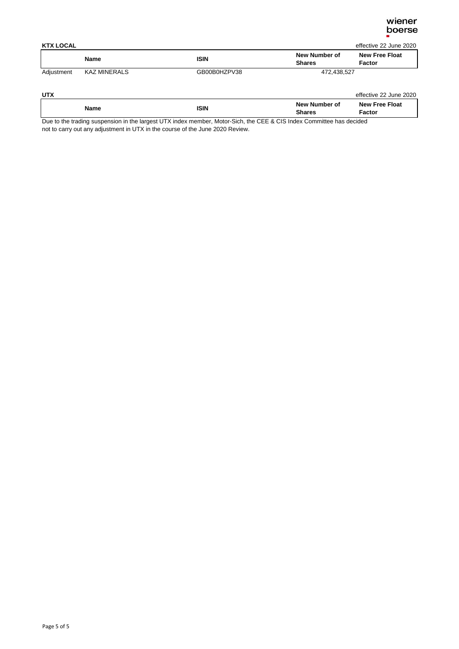

| <b>KTX LOCAL</b><br>effective 22 June 2020 |                     |              |                                |                                 |
|--------------------------------------------|---------------------|--------------|--------------------------------|---------------------------------|
|                                            | <b>Name</b>         | <b>ISIN</b>  | New Number of<br><b>Shares</b> | <b>New Free Float</b><br>Factor |
| Adjustment                                 | <b>KAZ MINERALS</b> | GB00B0HZPV38 | 472.438.527                    |                                 |

| New Number of<br><b>New Free Float</b><br>ISIN<br>Name<br>Shares<br>Factor | UTX |  | effective 22 June 2020 |
|----------------------------------------------------------------------------|-----|--|------------------------|
|                                                                            |     |  |                        |

Due to the trading suspension in the largest UTX index member, Motor-Sich, the CEE & CIS Index Committee has decided not to carry out any adjustment in UTX in the course of the June 2020 Review.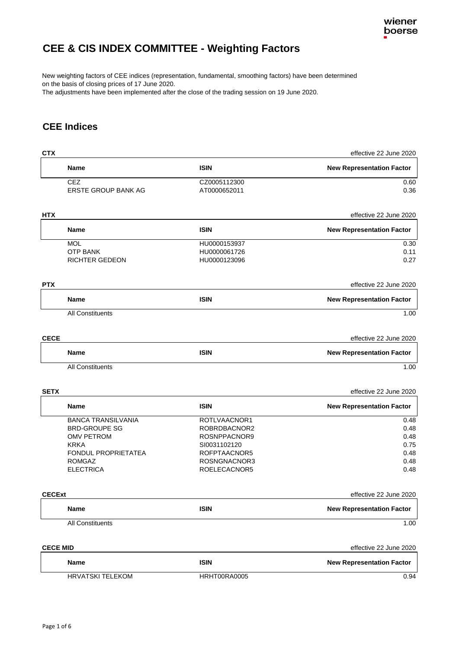

# <span id="page-6-0"></span>**CEE & CIS INDEX COMMITTEE - Weighting Factors**

New weighting factors of CEE indices (representation, fundamental, smoothing factors) have been determined on the basis of closing prices of 17 June 2020.

The adjustments have been implemented after the close of the trading session on 19 June 2020.

# **CEE Indices**

| <b>CTX</b>      |                            |              | effective 22 June 2020           |
|-----------------|----------------------------|--------------|----------------------------------|
|                 | Name                       | <b>ISIN</b>  | <b>New Representation Factor</b> |
|                 | <b>CEZ</b>                 | CZ0005112300 | 0.60                             |
|                 | <b>ERSTE GROUP BANK AG</b> | AT0000652011 | 0.36                             |
| <b>HTX</b>      |                            |              | effective 22 June 2020           |
|                 | <b>Name</b>                | <b>ISIN</b>  | <b>New Representation Factor</b> |
|                 | <b>MOL</b>                 | HU0000153937 | 0.30                             |
|                 | <b>OTP BANK</b>            | HU0000061726 | 0.11                             |
|                 | <b>RICHTER GEDEON</b>      | HU0000123096 | 0.27                             |
| <b>PTX</b>      |                            |              | effective 22 June 2020           |
|                 | <b>Name</b>                | <b>ISIN</b>  | <b>New Representation Factor</b> |
|                 | <b>All Constituents</b>    |              | 1.00                             |
|                 |                            |              |                                  |
| <b>CECE</b>     |                            |              | effective 22 June 2020           |
|                 | <b>Name</b>                | <b>ISIN</b>  | <b>New Representation Factor</b> |
|                 | <b>All Constituents</b>    |              | 1.00                             |
| <b>SETX</b>     |                            |              | effective 22 June 2020           |
|                 | <b>Name</b>                | <b>ISIN</b>  | <b>New Representation Factor</b> |
|                 | <b>BANCA TRANSILVANIA</b>  | ROTLVAACNOR1 | 0.48                             |
|                 | <b>BRD-GROUPE SG</b>       | ROBRDBACNOR2 | 0.48                             |
|                 | <b>OMV PETROM</b>          | ROSNPPACNOR9 | 0.48                             |
|                 | <b>KRKA</b>                | SI0031102120 | 0.75                             |
|                 | <b>FONDUL PROPRIETATEA</b> | ROFPTAACNOR5 | 0.48                             |
|                 | <b>ROMGAZ</b>              | ROSNGNACNOR3 | 0.48                             |
|                 | <b>ELECTRICA</b>           | ROELECACNOR5 | 0.48                             |
| <b>CECExt</b>   |                            |              | effective 22 June 2020           |
|                 | <b>Name</b>                | <b>ISIN</b>  | <b>New Representation Factor</b> |
|                 | <b>All Constituents</b>    |              | 1.00                             |
|                 |                            |              |                                  |
| <b>CECE MID</b> |                            |              | effective 22 June 2020           |
|                 | <b>Name</b>                | <b>ISIN</b>  | <b>New Representation Factor</b> |
|                 | <b>HRVATSKI TELEKOM</b>    | HRHT00RA0005 | 0.94                             |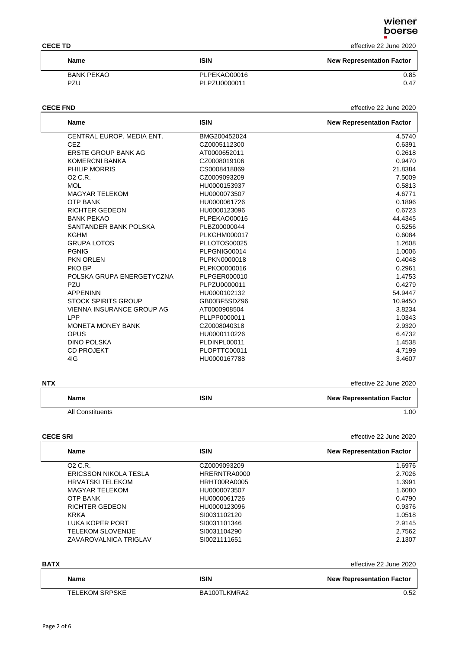### **CECE TD** effective 22 June 2020

| <b>Name</b> | <b>ISIN</b>  | <b>New Representation Factor</b> |
|-------------|--------------|----------------------------------|
| BANK PEKAO  | PLPEKAO00016 | 0.85                             |
| PZU         | PLPZU0000011 | 0.47                             |

### **CECE FND** effective 22 June 2020

| <b>Name</b>                | <b>ISIN</b>         | <b>New Representation Factor</b> |
|----------------------------|---------------------|----------------------------------|
| CENTRAL EUROP, MEDIA ENT.  | BMG200452024        | 4.5740                           |
| CEZ.                       | CZ0005112300        | 0.6391                           |
| ERSTE GROUP BANK AG        | AT0000652011        | 0.2618                           |
| <b>KOMERCNI BANKA</b>      | CZ0008019106        | 0.9470                           |
| PHILIP MORRIS              | CS0008418869        | 21.8384                          |
| O <sub>2</sub> C.R.        | CZ0009093209        | 7.5009                           |
| <b>MOL</b>                 | HU0000153937        | 0.5813                           |
| <b>MAGYAR TELEKOM</b>      | HU0000073507        | 4.6771                           |
| <b>OTP BANK</b>            | HU0000061726        | 0.1896                           |
| <b>RICHTER GEDEON</b>      | HU0000123096        | 0.6723                           |
| <b>BANK PEKAO</b>          | PLPEKAO00016        | 44.4345                          |
| SANTANDER BANK POLSKA      | PLBZ00000044        | 0.5256                           |
| KGHM                       | <b>PLKGHM000017</b> | 0.6084                           |
| <b>GRUPA LOTOS</b>         | PLLOTOS00025        | 1.2608                           |
| <b>PGNIG</b>               | PLPGNIG00014        | 1.0006                           |
| <b>PKN ORLEN</b>           | PLPKN0000018        | 0.4048                           |
| PKO BP                     | PLPKO0000016        | 0.2961                           |
| POLSKA GRUPA ENERGETYCZNA  | PLPGER000010        | 1.4753                           |
| PZU                        | PLPZU0000011        | 0.4279                           |
| <b>APPENINN</b>            | HU0000102132        | 54.9447                          |
| <b>STOCK SPIRITS GROUP</b> | GB00BF5SDZ96        | 10.9450                          |
| VIENNA INSURANCE GROUP AG  | AT0000908504        | 3.8234                           |
| I PP                       | PLLPP0000011        | 1.0343                           |
| <b>MONETA MONEY BANK</b>   | CZ0008040318        | 2.9320                           |
| <b>OPUS</b>                | HU0000110226        | 6.4732                           |
| <b>DINO POLSKA</b>         | PLDINPL00011        | 1.4538                           |
| <b>CD PROJEKT</b>          | PLOPTTC00011        | 4.7199                           |
| 4IG                        | HU0000167788        | 3.4607                           |
|                            |                     |                                  |

| <b>NTX</b>              |             | effective 22 June 2020           |
|-------------------------|-------------|----------------------------------|
| <b>Name</b>             | <b>ISIN</b> | <b>New Representation Factor</b> |
| <b>All Constituents</b> |             | 1.00                             |

**CECE SRI** effective 22 June 2020

| <b>Name</b>              | <b>ISIN</b>  | <b>New Representation Factor</b> |
|--------------------------|--------------|----------------------------------|
| O2 C.R.                  | CZ0009093209 | 1.6976                           |
| ERICSSON NIKOLA TESLA    | HRERNTRA0000 | 2.7026                           |
| <b>HRVATSKI TELEKOM</b>  | HRHT00RA0005 | 1.3991                           |
| <b>MAGYAR TELEKOM</b>    | HU0000073507 | 1.6080                           |
| <b>OTP BANK</b>          | HU0000061726 | 0.4790                           |
| RICHTER GEDEON           | HU0000123096 | 0.9376                           |
| <b>KRKA</b>              | SI0031102120 | 1.0518                           |
| LUKA KOPER PORT          | SI0031101346 | 2.9145                           |
| <b>TELEKOM SLOVENIJE</b> | SI0031104290 | 2.7562                           |
| ZAVAROVALNICA TRIGLAV    | SI0021111651 | 2.1307                           |
|                          |              |                                  |

| <b>BATX</b> | effective 22 June 2020 |  |
|-------------|------------------------|--|
|-------------|------------------------|--|

| <b>Name</b>           | <b>ISIN</b>  | <b>New Representation Factor</b> |
|-----------------------|--------------|----------------------------------|
| <b>TELEKOM SRPSKE</b> | BA100TLKMRA2 | 0.52                             |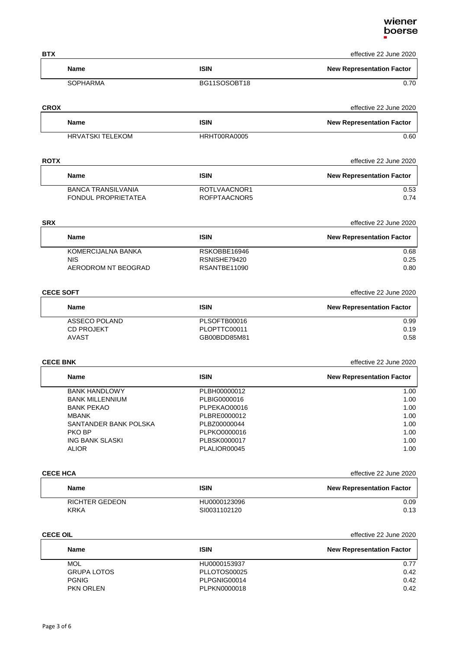# wiener<br>boerse

| <b>BTX</b>      |                                                  |                              | effective 22 June 2020           |
|-----------------|--------------------------------------------------|------------------------------|----------------------------------|
|                 | <b>Name</b>                                      | <b>ISIN</b>                  | <b>New Representation Factor</b> |
|                 | <b>SOPHARMA</b>                                  | BG11SOSOBT18                 | 0.70                             |
| <b>CROX</b>     |                                                  |                              | effective 22 June 2020           |
|                 | <b>Name</b>                                      | <b>ISIN</b>                  | <b>New Representation Factor</b> |
|                 | <b>HRVATSKI TELEKOM</b>                          | HRHT00RA0005                 | 0.60                             |
| ROTX            |                                                  |                              | effective 22 June 2020           |
|                 | <b>Name</b>                                      | <b>ISIN</b>                  | <b>New Representation Factor</b> |
|                 | <b>BANCA TRANSILVANIA</b><br>FONDUL PROPRIETATEA | ROTLVAACNOR1<br>ROFPTAACNOR5 | 0.53<br>0.74                     |
| SRX             |                                                  |                              | effective 22 June 2020           |
|                 | <b>Name</b>                                      | <b>ISIN</b>                  | <b>New Representation Factor</b> |
|                 | KOMERCIJALNA BANKA                               | RSKOBBE16946                 | 0.68                             |
|                 | <b>NIS</b><br>AERODROM NT BEOGRAD                | RSNISHE79420<br>RSANTBE11090 | 0.25<br>0.80                     |
|                 | <b>CECE SOFT</b>                                 |                              | effective 22 June 2020           |
|                 | <b>Name</b>                                      | <b>ISIN</b>                  | <b>New Representation Factor</b> |
|                 | ASSECO POLAND                                    | PLSOFTB00016                 | 0.99                             |
|                 | <b>CD PROJEKT</b><br><b>AVAST</b>                | PLOPTTC00011<br>GB00BDD85M81 | 0.19<br>0.58                     |
| <b>CECE BNK</b> |                                                  |                              | effective 22 June 2020           |
|                 | <b>Name</b>                                      | <b>ISIN</b>                  | <b>New Representation Factor</b> |
|                 | <b>BANK HANDLOWY</b>                             | PLBH00000012                 | 1.00                             |
|                 | <b>BANK MILLENNIUM</b>                           | PLBIG0000016                 | 1.00                             |
|                 | <b>BANK PEKAO</b>                                | PLPEKAO00016                 | 1.00                             |
|                 | <b>MBANK</b>                                     | PLBRE0000012                 | 1.00                             |
|                 | SANTANDER BANK POLSKA<br>PKO BP                  | PLBZ00000044<br>PLPKO0000016 | 1.00<br>1.00                     |
|                 | ING BANK SLASKI                                  | PLBSK0000017                 | 1.00                             |
|                 | <b>ALIOR</b>                                     | PLALIOR00045                 | 1.00                             |
| <b>CECE HCA</b> |                                                  |                              | effective 22 June 2020           |
|                 | Name                                             | <b>ISIN</b>                  | <b>New Representation Factor</b> |
|                 | <b>RICHTER GEDEON</b><br><b>KRKA</b>             | HU0000123096<br>SI0031102120 | 0.09<br>0.13                     |
| <b>CECE OIL</b> |                                                  |                              | effective 22 June 2020           |
|                 | Name                                             | <b>ISIN</b>                  | <b>New Representation Factor</b> |
|                 | <b>MOL</b>                                       | HU0000153937                 | 0.77                             |
|                 | <b>GRUPA LOTOS</b>                               | PLLOTOS00025                 | 0.42                             |
|                 | <b>PGNIG</b>                                     | PLPGNIG00014                 | 0.42                             |

PKN ORLEN PLPKN0000018 0.42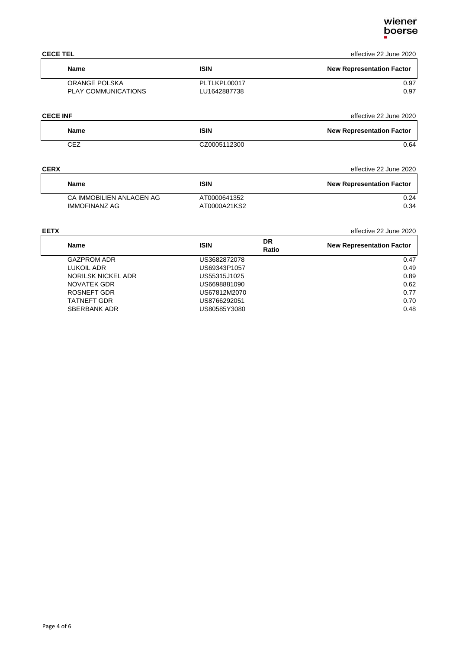### **CECE TEL** effective 22 June 2020

| Name                | <b>ISIN</b>  | <b>New Representation Factor</b> |
|---------------------|--------------|----------------------------------|
| ORANGE POLSKA       | PLTLKPL00017 | 0.97                             |
| PLAY COMMUNICATIONS | LU1642887738 | 0.97                             |

### **CECE INF** effective 22 June 2020

| Name | <b>ISIN</b>  | <b>New Representation Factor</b> |
|------|--------------|----------------------------------|
| CEZ  | CZ0005112300 | 0.64                             |

### **CERX** effective 22 June 2020

| <b>Name</b>              | <b>ISIN</b>  | <b>New Representation Factor</b> |
|--------------------------|--------------|----------------------------------|
| CA IMMOBILIEN ANLAGEN AG | AT0000641352 | 0.24                             |
| IMMOFINANZ AG            | AT0000A21KS2 | 0.34                             |

SBERBANK ADR US80585Y3080 0.48

### **EETX** effective 22 June 2020 **Name ISIN DR Ratio New Representation Factor** GAZPROM ADR US3682872078 0.47<br>
LUKOIL ADR US69343P1057 0.49 US69343P1057 0.49 NORILSK NICKEL ADR US55315J1025 0.89 NOVATEK GDR US6698881090 0.62 US67812M2070 TATNEFT GDR US8766292051 0.70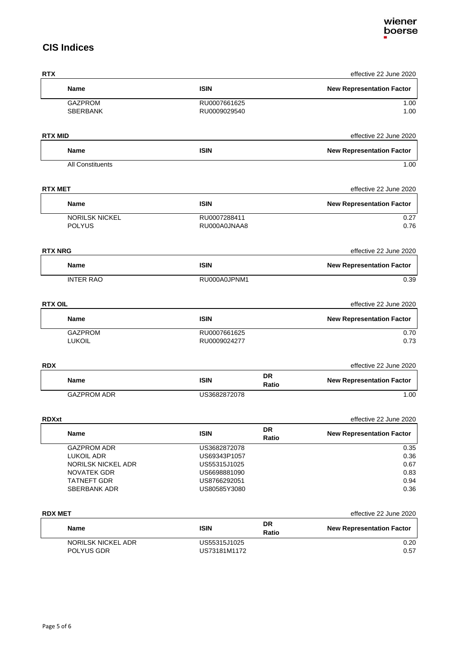# **CIS Indices**

| <b>RTX</b>                               |                              |                    | effective 22 June 2020           |
|------------------------------------------|------------------------------|--------------------|----------------------------------|
| Name                                     | <b>ISIN</b>                  |                    | <b>New Representation Factor</b> |
| <b>GAZPROM</b>                           | RU0007661625                 |                    | 1.00                             |
| SBERBANK                                 | RU0009029540                 |                    | 1.00                             |
| <b>RTX MID</b>                           |                              |                    | effective 22 June 2020           |
| <b>Name</b>                              | <b>ISIN</b>                  |                    | <b>New Representation Factor</b> |
| <b>All Constituents</b>                  |                              |                    | 1.00                             |
| <b>RTX MET</b>                           |                              |                    | effective 22 June 2020           |
| <b>Name</b>                              | <b>ISIN</b>                  |                    | <b>New Representation Factor</b> |
| NORILSK NICKEL                           | RU0007288411                 |                    | 0.27                             |
| <b>POLYUS</b>                            | RU000A0JNAA8                 |                    | 0.76                             |
| <b>RTX NRG</b>                           |                              |                    | effective 22 June 2020           |
| <b>Name</b>                              | <b>ISIN</b>                  |                    | <b>New Representation Factor</b> |
| <b>INTER RAO</b>                         | RU000A0JPNM1                 |                    | 0.39                             |
| <b>RTX OIL</b>                           |                              |                    | effective 22 June 2020           |
| Name                                     | <b>ISIN</b>                  |                    | <b>New Representation Factor</b> |
| <b>GAZPROM</b>                           | RU0007661625                 |                    | 0.70                             |
| <b>LUKOIL</b>                            | RU0009024277                 |                    | 0.73                             |
| <b>RDX</b>                               |                              |                    | effective 22 June 2020           |
| <b>Name</b>                              | <b>ISIN</b>                  | <b>DR</b><br>Ratio | <b>New Representation Factor</b> |
| <b>GAZPROM ADR</b>                       | US3682872078                 |                    | 1.00                             |
| <b>RDXxt</b>                             |                              |                    | effective 22 June 2020           |
| <b>Name</b>                              | <b>ISIN</b>                  | <b>DR</b><br>Ratio | <b>New Representation Factor</b> |
| <b>GAZPROM ADR</b>                       | US3682872078                 |                    | 0.35                             |
| <b>LUKOIL ADR</b>                        | US69343P1057                 |                    | 0.36                             |
| <b>NORILSK NICKEL ADR</b><br>NOVATEK GDR | US55315J1025<br>US6698881090 |                    | 0.67<br>0.83                     |
| TATNEFT GDR                              | US8766292051                 |                    | 0.94                             |
| SBERBANK ADR                             | US80585Y3080                 |                    | 0.36                             |
| <b>RDX MET</b>                           |                              |                    | effective 22 June 2020           |
|                                          |                              | DR                 |                                  |
| <b>Name</b><br>211.10117                 | <b>ISIN</b>                  | Ratio              | <b>New Representation Factor</b> |
|                                          |                              |                    |                                  |